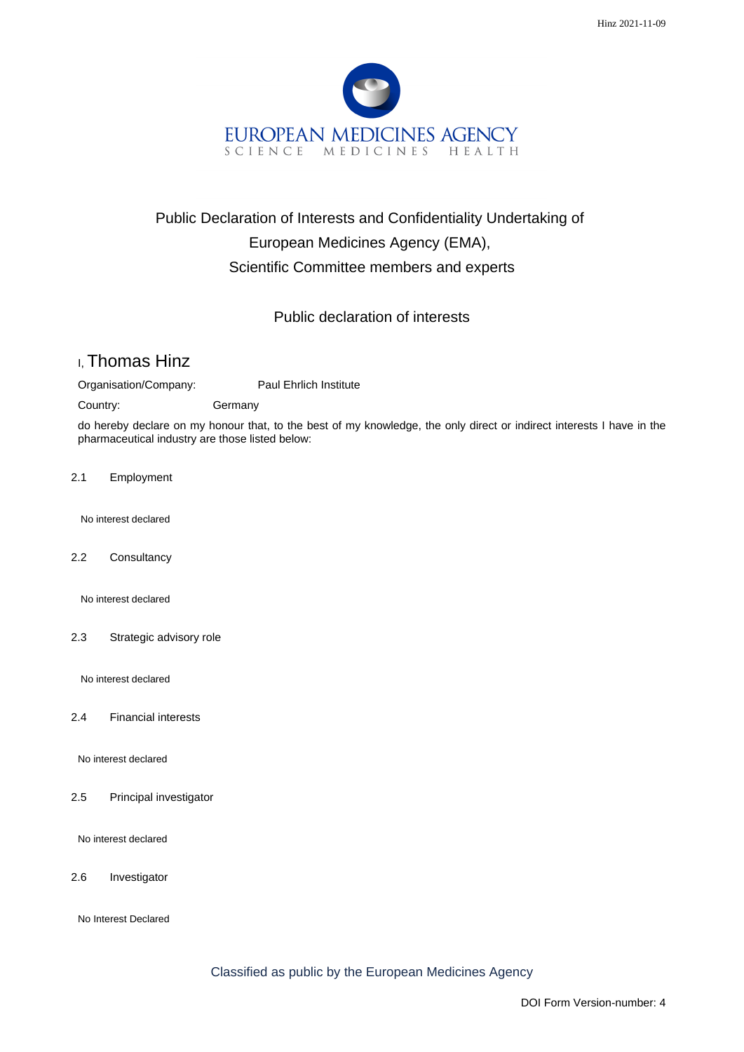

## Public Declaration of Interests and Confidentiality Undertaking of European Medicines Agency (EMA), Scientific Committee members and experts

## Public declaration of interests

## I, Thomas Hinz

Organisation/Company: Paul Ehrlich Institute

Country: Germany

do hereby declare on my honour that, to the best of my knowledge, the only direct or indirect interests I have in the pharmaceutical industry are those listed below:

2.1 Employment

No interest declared

2.2 Consultancy

No interest declared

2.3 Strategic advisory role

No interest declared

2.4 Financial interests

No interest declared

2.5 Principal investigator

No interest declared

2.6 Investigator

No Interest Declared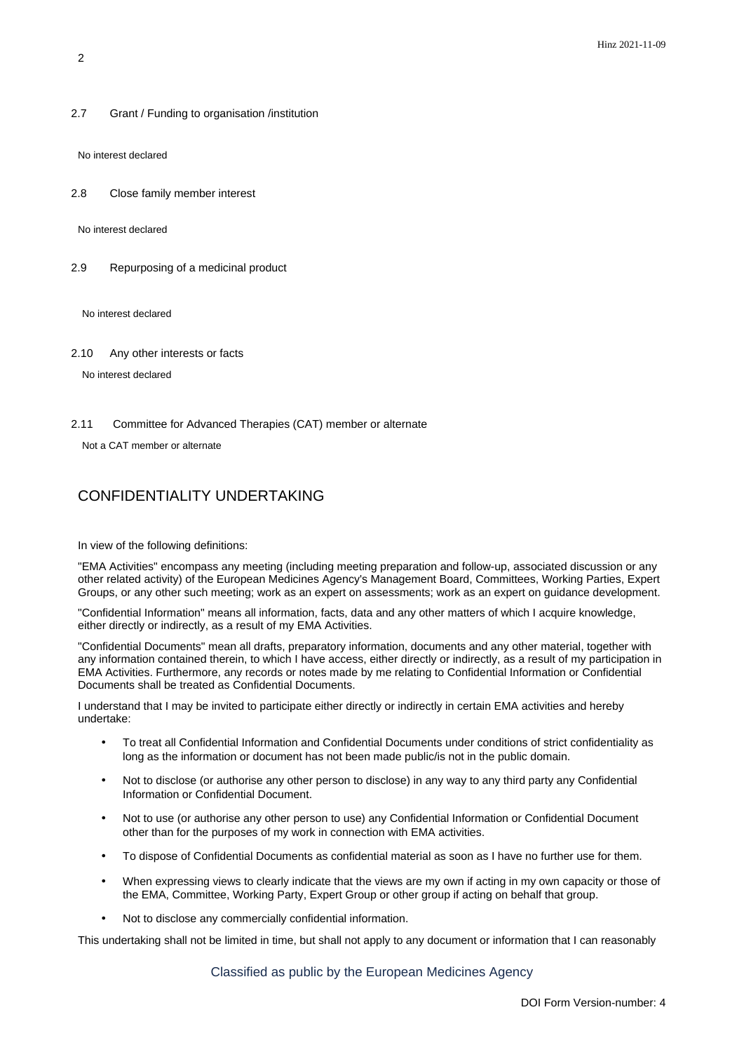2.7 Grant / Funding to organisation /institution

No interest declared

2.8 Close family member interest

No interest declared

2.9 Repurposing of a medicinal product

No interest declared

2.10 Any other interests or facts

No interest declared

2.11 Committee for Advanced Therapies (CAT) member or alternate

Not a CAT member or alternate

## CONFIDENTIALITY UNDERTAKING

In view of the following definitions:

"EMA Activities" encompass any meeting (including meeting preparation and follow-up, associated discussion or any other related activity) of the European Medicines Agency's Management Board, Committees, Working Parties, Expert Groups, or any other such meeting; work as an expert on assessments; work as an expert on guidance development.

"Confidential Information" means all information, facts, data and any other matters of which I acquire knowledge, either directly or indirectly, as a result of my EMA Activities.

"Confidential Documents" mean all drafts, preparatory information, documents and any other material, together with any information contained therein, to which I have access, either directly or indirectly, as a result of my participation in EMA Activities. Furthermore, any records or notes made by me relating to Confidential Information or Confidential Documents shall be treated as Confidential Documents.

I understand that I may be invited to participate either directly or indirectly in certain EMA activities and hereby undertake:

- To treat all Confidential Information and Confidential Documents under conditions of strict confidentiality as long as the information or document has not been made public/is not in the public domain.
- Not to disclose (or authorise any other person to disclose) in any way to any third party any Confidential Information or Confidential Document.
- Not to use (or authorise any other person to use) any Confidential Information or Confidential Document other than for the purposes of my work in connection with EMA activities.
- To dispose of Confidential Documents as confidential material as soon as I have no further use for them.
- When expressing views to clearly indicate that the views are my own if acting in my own capacity or those of the EMA, Committee, Working Party, Expert Group or other group if acting on behalf that group.
- Not to disclose any commercially confidential information.

This undertaking shall not be limited in time, but shall not apply to any document or information that I can reasonably

Classified as public by the European Medicines Agency